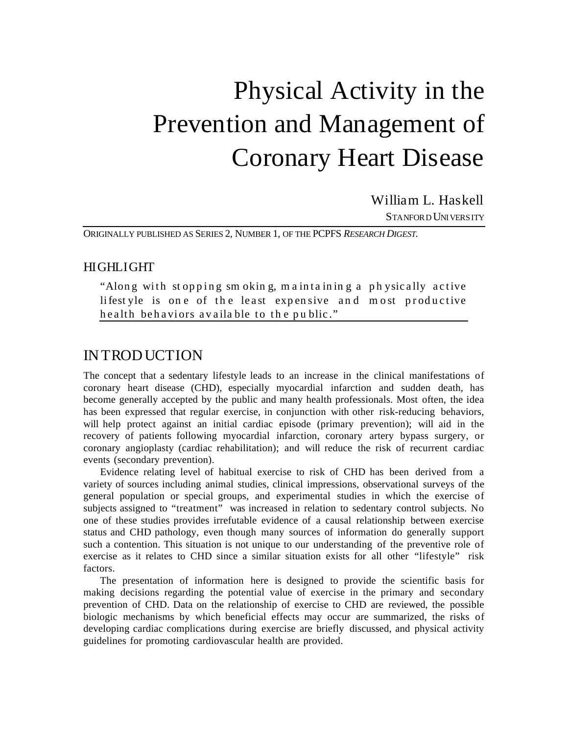# Physical Activity in the Prevention and Management of **Coronary Heart Disease**

William L. Haskell **STANFORD UNIVERSITY** 

ORIGINALLY PUBLISHED AS SERIES 2, NUMBER 1, OF THE PCPFS RESEARCH DIGEST.

#### **HIGHLIGHT**

"Along with stopping smoking, maintaining a physically active lifestyle is one of the least expensive and most productive health behaviors available to the public."

## **INTRODUCTION**

The concept that a sedentary lifestyle leads to an increase in the clinical manifestations of coronary heart disease (CHD), especially myocardial infarction and sudden death, has become generally accepted by the public and many health professionals. Most often, the idea has been expressed that regular exercise, in conjunction with other risk-reducing behaviors, will help protect against an initial cardiac episode (primary prevention); will aid in the recovery of patients following myocardial infarction, coronary artery bypass surgery, or coronary angioplasty (cardiac rehabilitation); and will reduce the risk of recurrent cardiac events (secondary prevention).

Evidence relating level of habitual exercise to risk of CHD has been derived from a variety of sources including animal studies, clinical impressions, observational surveys of the general population or special groups, and experimental studies in which the exercise of subjects assigned to "treatment" was increased in relation to sedentary control subjects. No one of these studies provides irrefutable evidence of a causal relationship between exercise status and CHD pathology, even though many sources of information do generally support such a contention. This situation is not unique to our understanding of the preventive role of exercise as it relates to CHD since a similar situation exists for all other "lifestyle" risk factors.

The presentation of information here is designed to provide the scientific basis for making decisions regarding the potential value of exercise in the primary and secondary prevention of CHD. Data on the relationship of exercise to CHD are reviewed, the possible biologic mechanisms by which beneficial effects may occur are summarized, the risks of developing cardiac complications during exercise are briefly discussed, and physical activity guidelines for promoting cardiovascular health are provided.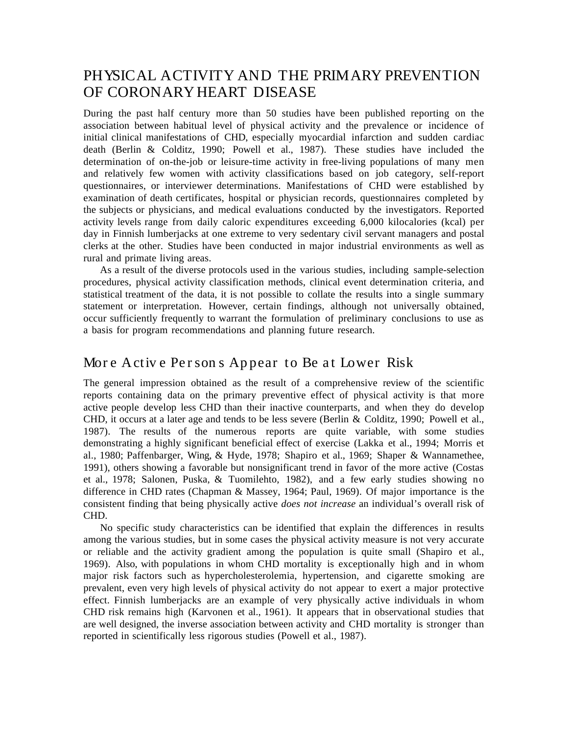# PHYSICAL ACTIVITY AND THE PRIMARY PREVENTION OF CORONARY HEART DISEASE

During the past half century more than 50 studies have been published reporting on the association between habitual level of physical activity and the prevalence or incidence of initial clinical manifestations of CHD, especially myocardial infarction and sudden cardiac death (Berlin & Colditz, 1990; Powell et al., 1987). These studies have included the determination of on-the-job or leisure-time activity in free-living populations of many men and relatively few women with activity classifications based on job category, self-report questionnaires, or interviewer determinations. Manifestations of CHD were established by examination of death certificates, hospital or physician records, questionnaires completed by the subjects or physicians, and medical evaluations conducted by the investigators. Reported activity levels range from daily caloric expenditures exceeding 6,000 kilocalories (kcal) per day in Finnish lumberjacks at one extreme to very sedentary civil servant managers and postal clerks at the other. Studies have been conducted in major industrial environments as well as rural and primate living areas.

As a result of the diverse protocols used in the various studies, including sample-selection procedures, physical activity classification methods, clinical event determination criteria, and statistical treatment of the data, it is not possible to collate the results into a single summary statement or interpretation. However, certain findings, although not universally obtained, occur sufficiently frequently to warrant the formulation of preliminary conclusions to use as a basis for program recommendations and planning future research.

## More Active Persons Appear to Be at Lower Risk

The general impression obtained as the result of a comprehensive review of the scientific reports containing data on the primary preventive effect of physical activity is that more active people develop less CHD than their inactive counterparts, and when they do develop CHD, it occurs at a later age and tends to be less severe (Berlin & Colditz, 1990; Powell et al., 1987). The results of the numerous reports are quite variable, with some studies demonstrating a highly significant beneficial effect of exercise (Lakka et al., 1994; Morris et al., 1980; Paffenbarger, Wing, & Hyde, 1978; Shapiro et al., 1969; Shaper & Wannamethee, 1991), others showing a favorable but nonsignificant trend in favor of the more active (Costas et al., 1978; Salonen, Puska, & Tuomilehto, 1982), and a few early studies showing no difference in CHD rates (Chapman & Massey, 1964; Paul, 1969). Of major importance is the consistent finding that being physically active *does not increase* an individual's overall risk of CHD.

No specific study characteristics can be identified that explain the differences in results among the various studies, but in some cases the physical activity measure is not very accurate or reliable and the activity gradient among the population is quite small (Shapiro et al., 1969). Also, with populations in whom CHD mortality is exceptionally high and in whom major risk factors such as hypercholesterolemia, hypertension, and cigarette smoking are prevalent, even very high levels of physical activity do not appear to exert a major protective effect. Finnish lumberjacks are an example of very physically active individuals in whom CHD risk remains high (Karvonen et al., 1961). It appears that in observational studies that are well designed, the inverse association between activity and CHD mortality is stronger than reported in scientifically less rigorous studies (Powell et al., 1987).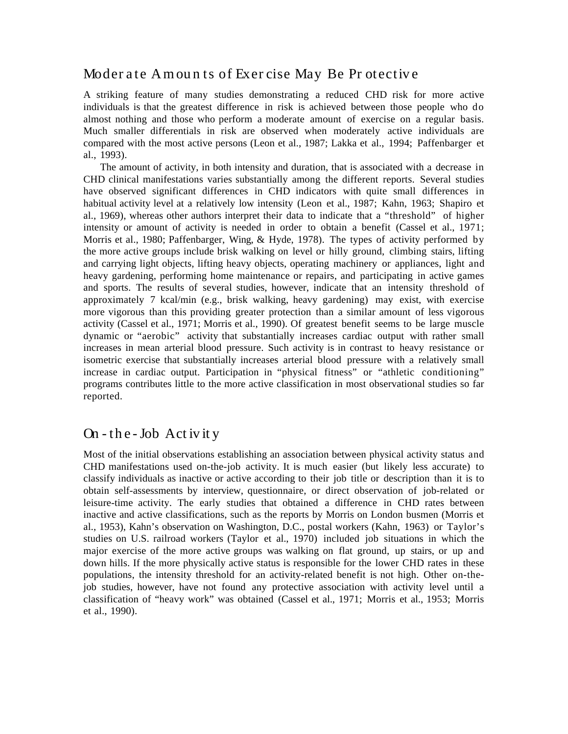## Moder ate Amounts of Exercise May Be Protective

A striking feature of many studies demonstrating a reduced CHD risk for more active individuals is that the greatest difference in risk is achieved between those people who do almost nothing and those who perform a moderate amount of exercise on a regular basis. Much smaller differentials in risk are observed when moderately active individuals are compared with the most active persons (Leon et al., 1987; Lakka et al., 1994; Paffenbarger et al., 1993).

The amount of activity, in both intensity and duration, that is associated with a decrease in CHD clinical manifestations varies substantially among the different reports. Several studies have observed significant differences in CHD indicators with quite small differences in habitual activity level at a relatively low intensity (Leon et al., 1987; Kahn, 1963; Shapiro et al., 1969), whereas other authors interpret their data to indicate that a "threshold" of higher intensity or amount of activity is needed in order to obtain a benefit (Cassel et al., 1971; Morris et al., 1980; Paffenbarger, Wing, & Hyde, 1978). The types of activity performed by the more active groups include brisk walking on level or hilly ground, climbing stairs, lifting and carrying light objects, lifting heavy objects, operating machinery or appliances, light and heavy gardening, performing home maintenance or repairs, and participating in active games and sports. The results of several studies, however, indicate that an intensity threshold of approximately 7 kcal/min (e.g., brisk walking, heavy gardening) may exist, with exercise more vigorous than this providing greater protection than a similar amount of less vigorous activity (Cassel et al., 1971; Morris et al., 1990). Of greatest benefit seems to be large muscle dynamic or "aerobic" activity that substantially increases cardiac output with rather small increases in mean arterial blood pressure. Such activity is in contrast to heavy resistance or isometric exercise that substantially increases arterial blood pressure with a relatively small increase in cardiac output. Participation in "physical fitness" or "athletic conditioning" programs contributes little to the more active classification in most observational studies so far reported.

## On - the - Job Act iv it y

Most of the initial observations establishing an association between physical activity status and CHD manifestations used on-the-job activity. It is much easier (but likely less accurate) to classify individuals as inactive or active according to their job title or description than it is to obtain self-assessments by interview, questionnaire, or direct observation of job-related or leisure-time activity. The early studies that obtained a difference in CHD rates between inactive and active classifications, such as the reports by Morris on London busmen (Morris et al., 1953), Kahn's observation on Washington, D.C., postal workers (Kahn, 1963) or Taylor's studies on U.S. railroad workers (Taylor et al., 1970) included job situations in which the major exercise of the more active groups was walking on flat ground, up stairs, or up and down hills. If the more physically active status is responsible for the lower CHD rates in these populations, the intensity threshold for an activity-related benefit is not high. Other on-thejob studies, however, have not found any protective association with activity level until a classification of "heavy work" was obtained (Cassel et al., 1971; Morris et al., 1953; Morris et al., 1990).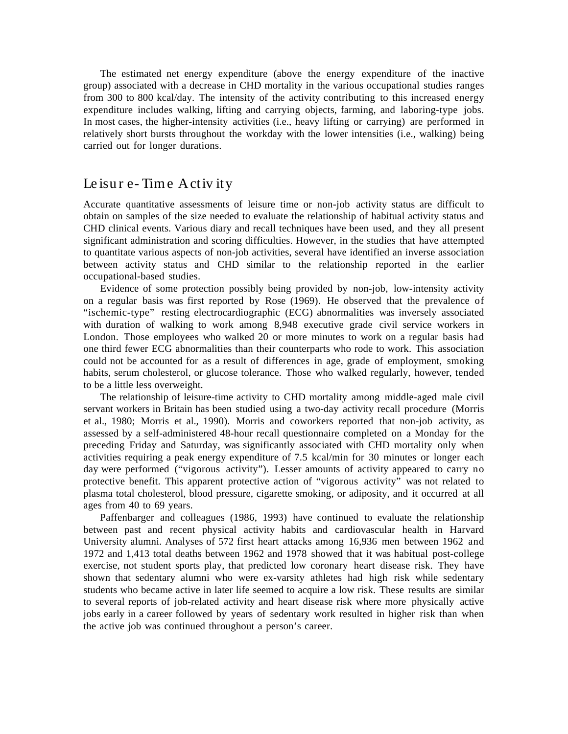The estimated net energy expenditure (above the energy expenditure of the inactive group) associated with a decrease in CHD mortality in the various occupational studies ranges from 300 to 800 kcal/day. The intensity of the activity contributing to this increased energy expenditure includes walking, lifting and carrying objects, farming, and laboring-type jobs. In most cases, the higher-intensity activities (i.e., heavy lifting or carrying) are performed in relatively short bursts throughout the workday with the lower intensities (i.e., walking) being carried out for longer durations.

#### Le isur e- Time Activity

Accurate quantitative assessments of leisure time or non-job activity status are difficult to obtain on samples of the size needed to evaluate the relationship of habitual activity status and CHD clinical events. Various diary and recall techniques have been used, and they all present significant administration and scoring difficulties. However, in the studies that have attempted to quantitate various aspects of non-job activities, several have identified an inverse association between activity status and CHD similar to the relationship reported in the earlier occupational-based studies.

Evidence of some protection possibly being provided by non-job, low-intensity activity on a regular basis was first reported by Rose (1969). He observed that the prevalence of "ischemic-type" resting electrocardiographic (ECG) abnormalities was inversely associated with duration of walking to work among 8,948 executive grade civil service workers in London. Those employees who walked 20 or more minutes to work on a regular basis had one third fewer ECG abnormalities than their counterparts who rode to work. This association could not be accounted for as a result of differences in age, grade of employment, smoking habits, serum cholesterol, or glucose tolerance. Those who walked regularly, however, tended to be a little less overweight.

The relationship of leisure-time activity to CHD mortality among middle-aged male civil servant workers in Britain has been studied using a two-day activity recall procedure (Morris et al., 1980; Morris et al., 1990). Morris and coworkers reported that non-job activity, as assessed by a self-administered 48-hour recall questionnaire completed on a Monday for the preceding Friday and Saturday, was significantly associated with CHD mortality only when activities requiring a peak energy expenditure of 7.5 kcal/min for 30 minutes or longer each day were performed ("vigorous activity"). Lesser amounts of activity appeared to carry no protective benefit. This apparent protective action of "vigorous activity" was not related to plasma total cholesterol, blood pressure, cigarette smoking, or adiposity, and it occurred at all ages from 40 to 69 years.

Paffenbarger and colleagues (1986, 1993) have continued to evaluate the relationship between past and recent physical activity habits and cardiovascular health in Harvard University alumni. Analyses of 572 first heart attacks among 16,936 men between 1962 and 1972 and 1,413 total deaths between 1962 and 1978 showed that it was habitual post-college exercise, not student sports play, that predicted low coronary heart disease risk. They have shown that sedentary alumni who were ex-varsity athletes had high risk while sedentary students who became active in later life seemed to acquire a low risk. These results are similar to several reports of job-related activity and heart disease risk where more physically active jobs early in a career followed by years of sedentary work resulted in higher risk than when the active job was continued throughout a person's career.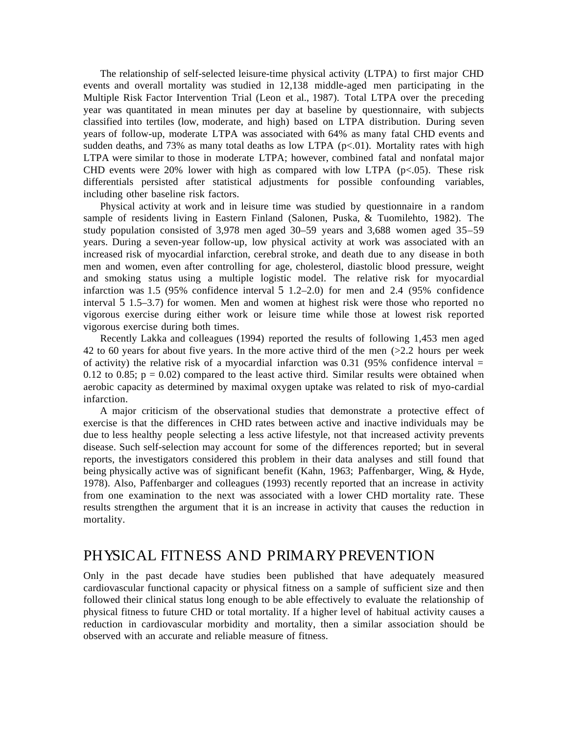The relationship of self-selected leisure-time physical activity (LTPA) to first major CHD events and overall mortality was studied in 12,138 middle-aged men participating in the Multiple Risk Factor Intervention Trial (Leon et al., 1987). Total LTPA over the preceding year was quantitated in mean minutes per day at baseline by questionnaire, with subjects classified into tertiles (low, moderate, and high) based on LTPA distribution. During seven years of follow-up, moderate LTPA was associated with 64% as many fatal CHD events and sudden deaths, and 73% as many total deaths as low LTPA  $(p<.01)$ . Mortality rates with high LTPA were similar to those in moderate LTPA; however, combined fatal and nonfatal major CHD events were 20% lower with high as compared with low LTPA  $(p<0.05)$ . These risk differentials persisted after statistical adjustments for possible confounding variables, including other baseline risk factors.

Physical activity at work and in leisure time was studied by questionnaire in a random sample of residents living in Eastern Finland (Salonen, Puska, & Tuomilehto, 1982). The study population consisted of 3,978 men aged 30–59 years and 3,688 women aged 35–59 years. During a seven-year follow-up, low physical activity at work was associated with an increased risk of myocardial infarction, cerebral stroke, and death due to any disease in both men and women, even after controlling for age, cholesterol, diastolic blood pressure, weight and smoking status using a multiple logistic model. The relative risk for myocardial infarction was 1.5 (95% confidence interval 5 1.2–2.0) for men and 2.4 (95% confidence interval 5 1.5–3.7) for women. Men and women at highest risk were those who reported no vigorous exercise during either work or leisure time while those at lowest risk reported vigorous exercise during both times.

Recently Lakka and colleagues (1994) reported the results of following 1,453 men aged 42 to 60 years for about five years. In the more active third of the men (>2.2 hours per week of activity) the relative risk of a myocardial infarction was  $0.31$  (95% confidence interval = 0.12 to 0.85;  $p = 0.02$ ) compared to the least active third. Similar results were obtained when aerobic capacity as determined by maximal oxygen uptake was related to risk of myo-cardial infarction.

A major criticism of the observational studies that demonstrate a protective effect of exercise is that the differences in CHD rates between active and inactive individuals may be due to less healthy people selecting a less active lifestyle, not that increased activity prevents disease. Such self-selection may account for some of the differences reported; but in several reports, the investigators considered this problem in their data analyses and still found that being physically active was of significant benefit (Kahn, 1963; Paffenbarger, Wing, & Hyde, 1978). Also, Paffenbarger and colleagues (1993) recently reported that an increase in activity from one examination to the next was associated with a lower CHD mortality rate. These results strengthen the argument that it is an increase in activity that causes the reduction in mortality.

## PHYSICAL FITNESS AND PRIMARY PREVENTION

Only in the past decade have studies been published that have adequately measured cardiovascular functional capacity or physical fitness on a sample of sufficient size and then followed their clinical status long enough to be able effectively to evaluate the relationship of physical fitness to future CHD or total mortality. If a higher level of habitual activity causes a reduction in cardiovascular morbidity and mortality, then a similar association should be observed with an accurate and reliable measure of fitness.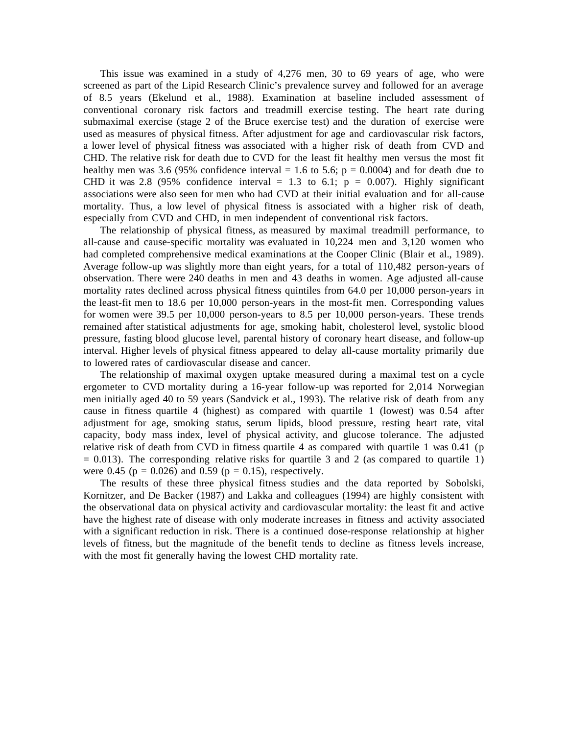This issue was examined in a study of 4,276 men, 30 to 69 years of age, who were screened as part of the Lipid Research Clinic's prevalence survey and followed for an average of 8.5 years (Ekelund et al., 1988). Examination at baseline included assessment of conventional coronary risk factors and treadmill exercise testing. The heart rate during submaximal exercise (stage 2 of the Bruce exercise test) and the duration of exercise were used as measures of physical fitness. After adjustment for age and cardiovascular risk factors, a lower level of physical fitness was associated with a higher risk of death from CVD and CHD. The relative risk for death due to CVD for the least fit healthy men versus the most fit healthy men was 3.6 (95% confidence interval  $= 1.6$  to 5.6;  $p = 0.0004$ ) and for death due to CHD it was 2.8 (95% confidence interval = 1.3 to 6.1;  $p = 0.007$ ). Highly significant associations were also seen for men who had CVD at their initial evaluation and for all-cause mortality. Thus, a low level of physical fitness is associated with a higher risk of death, especially from CVD and CHD, in men independent of conventional risk factors.

The relationship of physical fitness, as measured by maximal treadmill performance, to all-cause and cause-specific mortality was evaluated in 10,224 men and 3,120 women who had completed comprehensive medical examinations at the Cooper Clinic (Blair et al., 1989). Average follow-up was slightly more than eight years, for a total of 110,482 person-years of observation. There were 240 deaths in men and 43 deaths in women. Age adjusted all-cause mortality rates declined across physical fitness quintiles from 64.0 per 10,000 person-years in the least-fit men to 18.6 per 10,000 person-years in the most-fit men. Corresponding values for women were 39.5 per 10,000 person-years to 8.5 per 10,000 person-years. These trends remained after statistical adjustments for age, smoking habit, cholesterol level, systolic blood pressure, fasting blood glucose level, parental history of coronary heart disease, and follow-up interval. Higher levels of physical fitness appeared to delay all-cause mortality primarily due to lowered rates of cardiovascular disease and cancer.

The relationship of maximal oxygen uptake measured during a maximal test on a cycle ergometer to CVD mortality during a 16-year follow-up was reported for 2,014 Norwegian men initially aged 40 to 59 years (Sandvick et al., 1993). The relative risk of death from any cause in fitness quartile 4 (highest) as compared with quartile 1 (lowest) was 0.54 after adjustment for age, smoking status, serum lipids, blood pressure, resting heart rate, vital capacity, body mass index, level of physical activity, and glucose tolerance. The adjusted relative risk of death from CVD in fitness quartile 4 as compared with quartile 1 was  $0.41$  (p)  $= 0.013$ ). The corresponding relative risks for quartile 3 and 2 (as compared to quartile 1) were 0.45 ( $p = 0.026$ ) and 0.59 ( $p = 0.15$ ), respectively.

The results of these three physical fitness studies and the data reported by Sobolski, Kornitzer, and De Backer (1987) and Lakka and colleagues (1994) are highly consistent with the observational data on physical activity and cardiovascular mortality: the least fit and active have the highest rate of disease with only moderate increases in fitness and activity associated with a significant reduction in risk. There is a continued dose-response relationship at higher levels of fitness, but the magnitude of the benefit tends to decline as fitness levels increase, with the most fit generally having the lowest CHD mortality rate.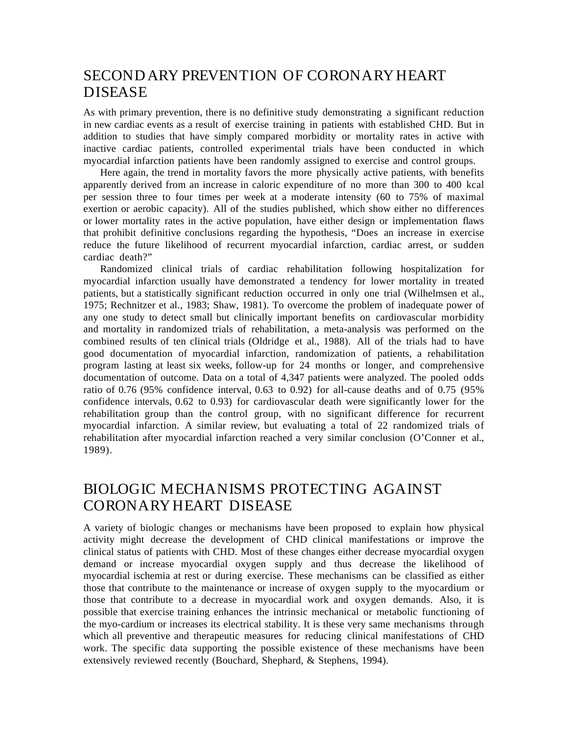# SECOND ARY PREVENTION OF CORONARY HEART **DISEASE**

As with primary prevention, there is no definitive study demonstrating a significant reduction in new cardiac events as a result of exercise training in patients with established CHD. But in addition to studies that have simply compared morbidity or mortality rates in active with inactive cardiac patients, controlled experimental trials have been conducted in which myocardial infarction patients have been randomly assigned to exercise and control groups.

Here again, the trend in mortality favors the more physically active patients, with benefits apparently derived from an increase in caloric expenditure of no more than 300 to 400 kcal per session three to four times per week at a moderate intensity (60 to 75% of maximal exertion or aerobic capacity). All of the studies published, which show either no differences or lower mortality rates in the active population, have either design or implementation flaws that prohibit definitive conclusions regarding the hypothesis, "Does an increase in exercise reduce the future likelihood of recurrent myocardial infarction, cardiac arrest, or sudden cardiac death?"

Randomized clinical trials of cardiac rehabilitation following hospitalization for myocardial infarction usually have demonstrated a tendency for lower mortality in treated patients, but a statistically significant reduction occurred in only one trial (Wilhelmsen et al., 1975; Rechnitzer et al., 1983; Shaw, 1981). To overcome the problem of inadequate power of any one study to detect small but clinically important benefits on cardiovascular morbidity and mortality in randomized trials of rehabilitation, a meta-analysis was performed on the combined results of ten clinical trials (Oldridge et al., 1988). All of the trials had to have good documentation of myocardial infarction, randomization of patients, a rehabilitation program lasting at least six weeks, follow-up for 24 months or longer, and comprehensive documentation of outcome. Data on a total of 4,347 patients were analyzed. The pooled odds ratio of 0.76 (95% confidence interval, 0.63 to 0.92) for all-cause deaths and of 0.75 (95% confidence intervals, 0.62 to 0.93) for cardiovascular death were significantly lower for the rehabilitation group than the control group, with no significant difference for recurrent myocardial infarction. A similar review, but evaluating a total of 22 randomized trials of rehabilitation after myocardial infarction reached a very similar conclusion (O'Conner et al., 1989).

## BIOLOGIC MECHANISMS PROTECTING AGAINST CORONARY HEART DISEASE

A variety of biologic changes or mechanisms have been proposed to explain how physical activity might decrease the development of CHD clinical manifestations or improve the clinical status of patients with CHD. Most of these changes either decrease myocardial oxygen demand or increase myocardial oxygen supply and thus decrease the likelihood of myocardial ischemia at rest or during exercise. These mechanisms can be classified as either those that contribute to the maintenance or increase of oxygen supply to the myocardium or those that contribute to a decrease in myocardial work and oxygen demands. Also, it is possible that exercise training enhances the intrinsic mechanical or metabolic functioning of the myo-cardium or increases its electrical stability. It is these very same mechanisms through which all preventive and therapeutic measures for reducing clinical manifestations of CHD work. The specific data supporting the possible existence of these mechanisms have been extensively reviewed recently (Bouchard, Shephard, & Stephens, 1994).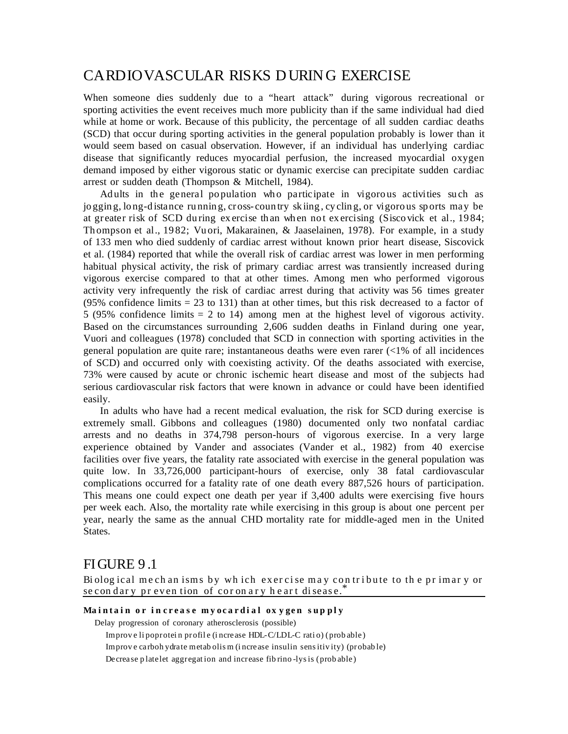## CARDIOVASCULAR RISKS DURING EXERCISE

When someone dies suddenly due to a "heart attack" during vigorous recreational or sporting activities the event receives much more publicity than if the same individual had died while at home or work. Because of this publicity, the percentage of all sudden cardiac deaths (SCD) that occur during sporting activities in the general population probably is lower than it would seem based on casual observation. However, if an individual has underlying cardiac disease that significantly reduces myocardial perfusion, the increased myocardial oxygen demand imposed by either vigorous static or dynamic exercise can precipitate sudden cardiac arrest or sudden death (Thompson & Mitchell, 1984).

Adults in the general population who participate in vigorous activities such as jogging, long-distance running, cross-country skiing, cycling, or vigorous sports may be at greater risk of SCD during exercise than when not exercising (Siscovick et al., 1984; Thompson et al., 1982; Vuori, Makarainen, & Jaaselainen, 1978). For example, in a study of 133 men who died suddenly of cardiac arrest without known prior heart disease, Siscovick et al. (1984) reported that while the overall risk of cardiac arrest was lower in men performing habitual physical activity, the risk of primary cardiac arrest was transiently increased during vigorous exercise compared to that at other times. Among men who performed vigorous activity very infrequently the risk of cardiac arrest during that activity was 56 times greater (95% confidence limits  $= 23$  to 131) than at other times, but this risk decreased to a factor of 5 (95% confidence limits  $= 2$  to 14) among men at the highest level of vigorous activity. Based on the circumstances surrounding 2,606 sudden deaths in Finland during one year, Vuori and colleagues (1978) concluded that SCD in connection with sporting activities in the general population are quite rare; instantaneous deaths were even rarer  $\ll 1\%$  of all incidences of SCD) and occurred only with coexisting activity. Of the deaths associated with exercise, 73% were caused by acute or chronic ischemic heart disease and most of the subjects had serious cardiovascular risk factors that were known in advance or could have been identified easily.

In adults who have had a recent medical evaluation, the risk for SCD during exercise is extremely small. Gibbons and colleagues (1980) documented only two nonfatal cardiac arrests and no deaths in 374,798 person-hours of vigorous exercise. In a very large experience obtained by Vander and associates (Vander et al., 1982) from 40 exercise facilities over five years, the fatality rate associated with exercise in the general population was quite low. In 33,726,000 participant-hours of exercise, only 38 fatal cardiovascular complications occurred for a fatality rate of one death every 887,526 hours of participation. This means one could expect one death per year if 3,400 adults were exercising five hours per week each. Also, the mortality rate while exercising in this group is about one percent per year, nearly the same as the annual CHD mortality rate for middle-aged men in the United States.

#### FIGURE 9.1

Biological mechanisms by which exercise may contribute to the primary or secondary prevention of coronary heart disease.<sup>\*</sup>

#### Maintain or increase myocardial oxygen supply

Delay progression of coronary atherosclerosis (possible)

Improve li poprotei n profile (i ncrease HDL-C/LDL-C ratio) (probable) Improve carboh ydrate metabolis m (increase insulin sensitivity) (probable)

Decrease platelet aggregation and increase fibrino-lysis (probable)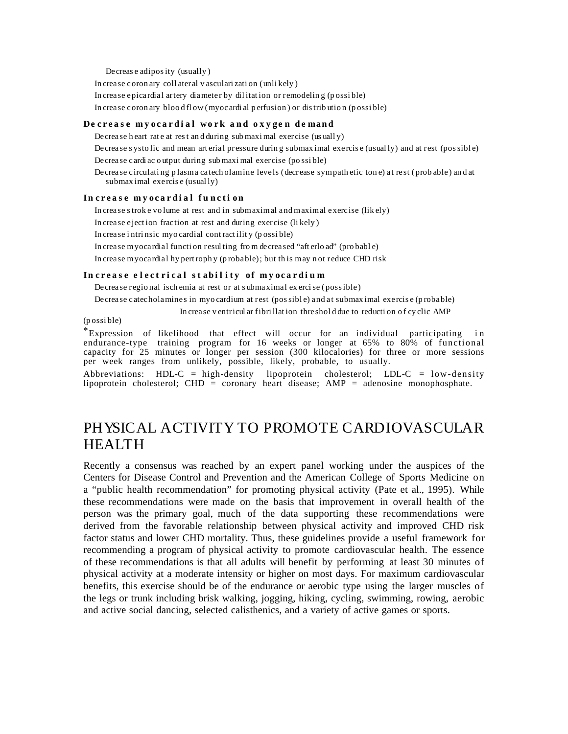De creas e adiposity (usually)

In crea se c oron ary coll ater al v ascu lari zati on ( unli kely ) In crease epicardial artery diameter by dilitation or remodeling (possible) In crea se c oron ary bloo d fl ow ( myoc ardi al p erfu sion ) or dis trib utio n (p ossi ble)

#### De crease my ocardial work and oxygen demand

De crease h eart rate at rest and during sub maximal exercise (usually)

De crease s ysto lic and mean art erial pressure during submax imal exercise (usually) and at rest (possible) De crease c ardi ac o utput during sub maximal exercise (possible)

De crease circulating plasma catech olamine levels (decrease sympath etic tone) at rest (prob able) and at submax imal exercise (usual  $\{y\}$ )

#### In crease my ocardial function

In crea se s trok e vo lume at rest and in subm axim al a nd m axim al e xerc ise (lik ely)

In crea se e ject ion frac tion at rest and dur ing exer cise (li kely )

In crease intrinsic myo cardial contractility (possible)

In crease myocardial function resulting from decreased "afterload" (probable)

In crease myocardial hy pert rophy (probable); but this may not reduce CHD risk

#### In crease electrical stability of my ocardium

De crease r egional ischemia at rest or at submaximal exercise (possible)

De crease c atec holamines in myo cardium at rest (possible) and at submax imal exercise (probable)

In crease v entricul ar f ibrillation thre shold due to reduction of cy clic AMP

(p ossi ble)

\*Expression of likelihood that effect will occur for an individual participating i n endurance-type training program for 16 weeks or longer at 65% to 80% of functional capacity for 25 minutes or longer per session (300 kilocalories) for three or more sessions per week ranges from unlikely, possible, likely, probable, to usually.

Abbreviations:  $HDL-C = high-density lipoprotein cholesterol; LDL-C = low-density$ lipoprotein cholesterol; CHD = coronary heart disease; AMP = adenosine monophosphate.

# PHYSICAL ACTIVITY TO PROMOTE CARDIOVASCULAR **HEALTH**

Recently a consensus was reached by an expert panel working under the auspices of the Centers for Disease Control and Prevention and the American College of Sports Medicine on a "public health recommendation" for promoting physical activity (Pate et al., 1995). While these recommendations were made on the basis that improvement in overall health of the person was the primary goal, much of the data supporting these recommendations were derived from the favorable relationship between physical activity and improved CHD risk factor status and lower CHD mortality. Thus, these guidelines provide a useful framework for recommending a program of physical activity to promote cardiovascular health. The essence of these recommendations is that all adults will benefit by performing at least 30 minutes of physical activity at a moderate intensity or higher on most days. For maximum cardiovascular benefits, this exercise should be of the endurance or aerobic type using the larger muscles of the legs or trunk including brisk walking, jogging, hiking, cycling, swimming, rowing, aerobic and active social dancing, selected calisthenics, and a variety of active games or sports.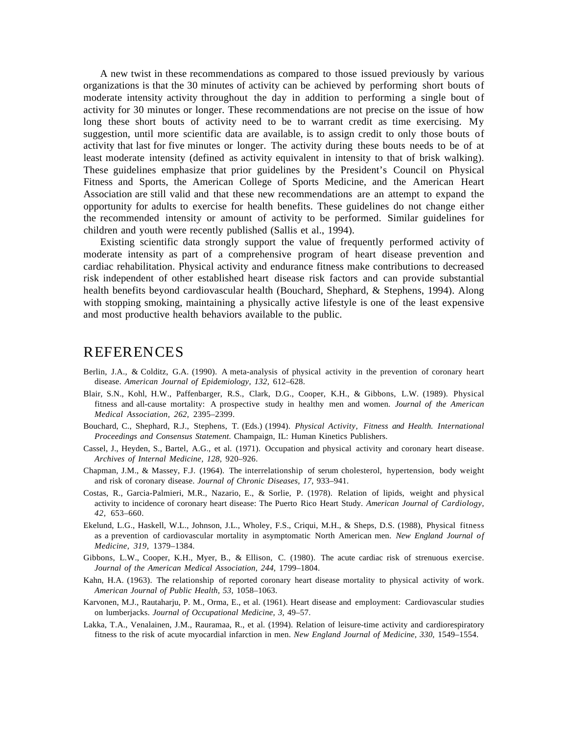A new twist in these recommendations as compared to those issued previously by various organizations is that the 30 minutes of activity can be achieved by performing short bouts of moderate intensity activity throughout the day in addition to performing a single bout of activity for 30 minutes or longer. These recommendations are not precise on the issue of how long these short bouts of activity need to be to warrant credit as time exercising. My suggestion, until more scientific data are available, is to assign credit to only those bouts of activity that last for five minutes or longer. The activity during these bouts needs to be of at least moderate intensity (defined as activity equivalent in intensity to that of brisk walking). These guidelines emphasize that prior guidelines by the President's Council on Physical Fitness and Sports, the American College of Sports Medicine, and the American Heart Association are still valid and that these new recommendations are an attempt to expand the opportunity for adults to exercise for health benefits. These guidelines do not change either the recommended intensity or amount of activity to be performed. Similar guidelines for children and youth were recently published (Sallis et al., 1994).

Existing scientific data strongly support the value of frequently performed activity of moderate intensity as part of a comprehensive program of heart disease prevention and cardiac rehabilitation. Physical activity and endurance fitness make contributions to decreased risk independent of other established heart disease risk factors and can provide substantial health benefits beyond cardiovascular health (Bouchard, Shephard, & Stephens, 1994). Along with stopping smoking, maintaining a physically active lifestyle is one of the least expensive and most productive health behaviors available to the public.

#### **REFERENCES**

- Berlin, J.A., & Colditz, G.A. (1990). A meta-analysis of physical activity in the prevention of coronary heart disease. *American Journal of Epidemiology, 132,* 612–628.
- Blair, S.N., Kohl, H.W., Paffenbarger, R.S., Clark, D.G., Cooper, K.H., & Gibbons, L.W. (1989). Physical fitness and all-cause mortality: A prospective study in healthy men and women. *Journal of the American Medical Association, 262,* 2395–2399.
- Bouchard, C., Shephard, R.J., Stephens, T. (Eds.) (1994). *Physical Activity, Fitness and Health. International Proceedings and Consensus Statement.* Champaign, IL: Human Kinetics Publishers.
- Cassel, J., Heyden, S., Bartel, A.G., et al. (1971). Occupation and physical activity and coronary heart disease. *Archives of Internal Medicine, 128,* 920–926.
- Chapman, J.M., & Massey, F.J. (1964). The interrelationship of serum cholesterol, hypertension, body weight and risk of coronary disease. *Journal of Chronic Diseases, 17,* 933–941.
- Costas, R., Garcia-Palmieri, M.R., Nazario, E., & Sorlie, P. (1978). Relation of lipids, weight and physical activity to incidence of coronary heart disease: The Puerto Rico Heart Study. *American Journal of Cardiology, 42,* 653–660.
- Ekelund, L.G., Haskell, W.L., Johnson, J.L., Wholey, F.S., Criqui, M.H., & Sheps, D.S. (1988), Physical fitness as a prevention of cardiovascular mortality in asymptomatic North American men. *New England Journal of Medicine, 319,* 1379–1384.
- Gibbons, L.W., Cooper, K.H., Myer, B., & Ellison, C. (1980). The acute cardiac risk of strenuous exercise. *Journal of the American Medical Association, 244,* 1799–1804.
- Kahn, H.A. (1963). The relationship of reported coronary heart disease mortality to physical activity of work. *American Journal of Public Health, 53,* 1058–1063.
- Karvonen, M.J., Rautaharju, P. M., Orma, E., et al. (1961). Heart disease and employment: Cardiovascular studies on lumberjacks. *Journal of Occupational Medicine, 3,* 49–57.
- Lakka, T.A., Venalainen, J.M., Rauramaa, R., et al. (1994). Relation of leisure-time activity and cardiorespiratory fitness to the risk of acute myocardial infarction in men. *New England Journal of Medicine, 330,* 1549–1554.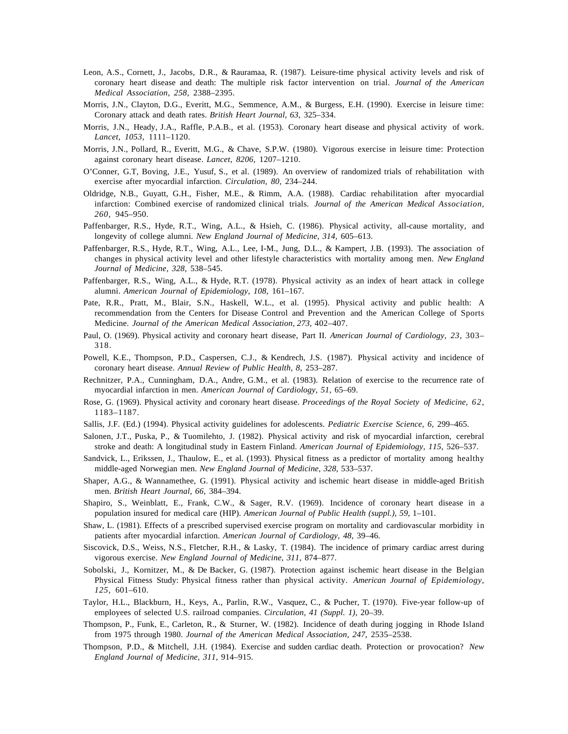- Leon, A.S., Cornett, J., Jacobs, D.R., & Rauramaa, R. (1987). Leisure-time physical activity levels and risk of coronary heart disease and death: The multiple risk factor intervention on trial. *Journal of the American Medical Association, 258,* 2388–2395.
- Morris, J.N., Clayton, D.G., Everitt, M.G., Semmence, A.M., & Burgess, E.H. (1990). Exercise in leisure time: Coronary attack and death rates. *British Heart Journal, 63,* 325–334.
- Morris, J.N., Heady, J.A., Raffle, P.A.B., et al. (1953). Coronary heart disease and physical activity of work. *Lancet, 1053,* 1111–1120.
- Morris, J.N., Pollard, R., Everitt, M.G., & Chave, S.P.W. (1980). Vigorous exercise in leisure time: Protection against coronary heart disease. *Lancet, 8206,* 1207–1210.
- O'Conner, G.T, Boving, J.E., Yusuf, S., et al. (1989). An overview of randomized trials of rehabilitation with exercise after myocardial infarction. *Circulation, 80,* 234–244.
- Oldridge, N.B., Guyatt, G.H., Fisher, M.E., & Rimm, A.A. (1988). Cardiac rehabilitation after myocardial infarction: Combined exercise of randomized clinical trials. *Journal of the American Medical Association, 260,* 945–950.
- Paffenbarger, R.S., Hyde, R.T., Wing, A.L., & Hsieh, C. (1986). Physical activity, all-cause mortality, and longevity of college alumni. *New England Journal of Medicine, 314,* 605–613.
- Paffenbarger, R.S., Hyde, R.T., Wing, A.L., Lee, I-M., Jung, D.L., & Kampert, J.B. (1993). The association of changes in physical activity level and other lifestyle characteristics with mortality among men. *New England Journal of Medicine, 328,* 538–545.
- Paffenbarger, R.S., Wing, A.L., & Hyde, R.T. (1978). Physical activity as an index of heart attack in college alumni. *American Journal of Epidemiology, 108,* 161–167.
- Pate, R.R., Pratt, M., Blair, S.N., Haskell, W.L., et al. (1995). Physical activity and public health: A recommendation from the Centers for Disease Control and Prevention and the American College of Sports Medicine. *Journal of the American Medical Association, 273,* 402–407.
- Paul, O. (1969). Physical activity and coronary heart disease, Part II. *American Journal of Cardiology, 23,* 303– 318.
- Powell, K.E., Thompson, P.D., Caspersen, C.J., & Kendrech, J.S. (1987). Physical activity and incidence of coronary heart disease. *Annual Review of Public Health, 8,* 253–287.
- Rechnitzer, P.A., Cunningham, D.A., Andre, G.M., et al. (1983). Relation of exercise to the recurrence rate of myocardial infarction in men. *American Journal of Cardiology, 51,* 65–69.
- Rose, G. (1969). Physical activity and coronary heart disease. *Proceedings of the Royal Society of Medicine, 62,* 1183–1187.
- Sallis, J.F. (Ed.) (1994). Physical activity guidelines for adolescents. *Pediatric Exercise Science, 6,* 299–465.
- Salonen, J.T., Puska, P., & Tuomilehto, J. (1982). Physical activity and risk of myocardial infarction, cerebral stroke and death: A longitudinal study in Eastern Finland. *American Journal of Epidemiology, 115,* 526–537.
- Sandvick, L., Erikssen, J., Thaulow, E., et al. (1993). Physical fitness as a predictor of mortality among healthy middle-aged Norwegian men. *New England Journal of Medicine, 328,* 533–537.
- Shaper, A.G., & Wannamethee, G. (1991). Physical activity and ischemic heart disease in middle-aged British men. *British Heart Journal, 66,* 384–394.
- Shapiro, S., Weinblatt, E., Frank, C.W., & Sager, R.V. (1969). Incidence of coronary heart disease in a population insured for medical care (HIP). *American Journal of Public Health (suppl.), 59,* 1–101.
- Shaw, L. (1981). Effects of a prescribed supervised exercise program on mortality and cardiovascular morbidity in patients after myocardial infarction. *American Journal of Cardiology, 48,* 39–46.
- Siscovick, D.S., Weiss, N.S., Fletcher, R.H., & Lasky, T. (1984). The incidence of primary cardiac arrest during vigorous exercise. *New England Journal of Medicine, 311,* 874–877.
- Sobolski, J., Kornitzer, M., & De Backer, G. (1987). Protection against ischemic heart disease in the Belgian Physical Fitness Study: Physical fitness rather than physical activity. *American Journal of Epidemiology, 125,* 601–610.
- Taylor, H.L., Blackburn, H., Keys, A., Parlin, R.W., Vasquez, C., & Pucher, T. (1970). Five-year follow-up of employees of selected U.S. railroad companies. *Circulation, 41 (Suppl. 1),* 20–39.
- Thompson, P., Funk, E., Carleton, R., & Sturner, W. (1982). Incidence of death during jogging in Rhode Island from 1975 through 1980. *Journal of the American Medical Association, 247,* 2535–2538.
- Thompson, P.D., & Mitchell, J.H. (1984). Exercise and sudden cardiac death. Protection or provocation? *New England Journal of Medicine, 311,* 914–915.